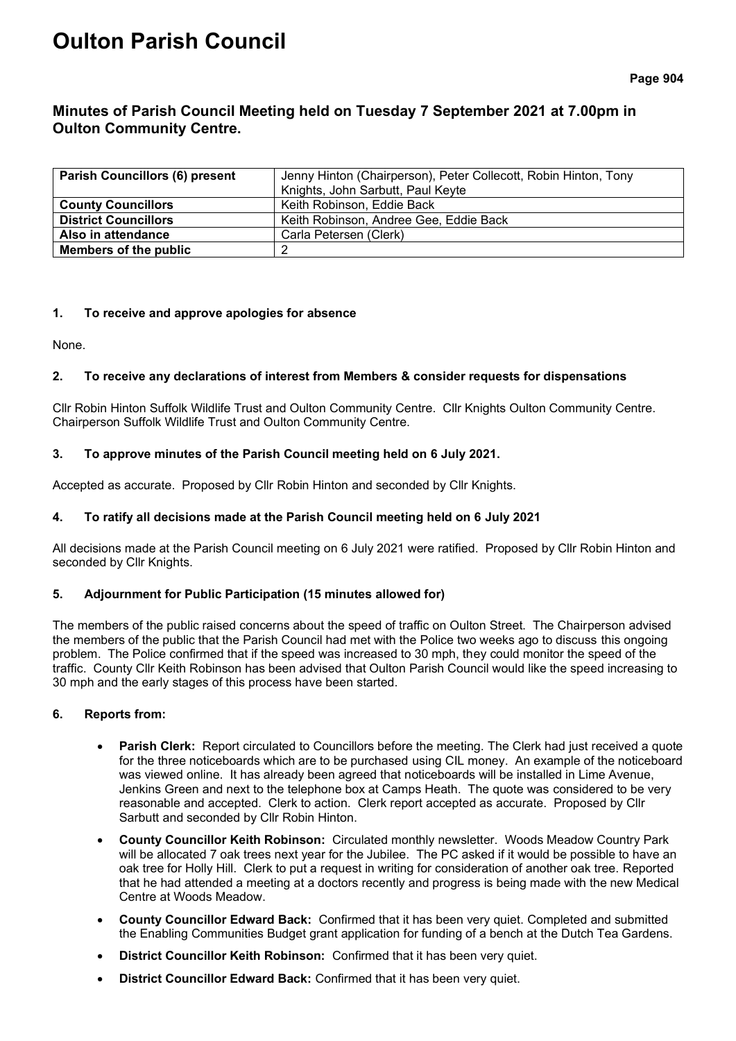# **Oulton Parish Council**

## **Minutes of Parish Council Meeting held on Tuesday 7 September 2021 at 7.00pm in Oulton Community Centre.**

| <b>Parish Councillors (6) present</b> | Jenny Hinton (Chairperson), Peter Collecott, Robin Hinton, Tony<br>Knights, John Sarbutt, Paul Keyte |
|---------------------------------------|------------------------------------------------------------------------------------------------------|
| <b>County Councillors</b>             | Keith Robinson, Eddie Back                                                                           |
| <b>District Councillors</b>           | Keith Robinson, Andree Gee, Eddie Back                                                               |
| Also in attendance                    | Carla Petersen (Clerk)                                                                               |
| Members of the public                 |                                                                                                      |

## **1. To receive and approve apologies for absence**

None.

## **2. To receive any declarations of interest from Members & consider requests for dispensations**

Cllr Robin Hinton Suffolk Wildlife Trust and Oulton Community Centre. Cllr Knights Oulton Community Centre. Chairperson Suffolk Wildlife Trust and Oulton Community Centre.

## **3. To approve minutes of the Parish Council meeting held on 6 July 2021.**

Accepted as accurate. Proposed by Cllr Robin Hinton and seconded by Cllr Knights.

## **4. To ratify all decisions made at the Parish Council meeting held on 6 July 2021**

All decisions made at the Parish Council meeting on 6 July 2021 were ratified. Proposed by Cllr Robin Hinton and seconded by Cllr Knights.

## **5. Adjournment for Public Participation (15 minutes allowed for)**

The members of the public raised concerns about the speed of traffic on Oulton Street. The Chairperson advised the members of the public that the Parish Council had met with the Police two weeks ago to discuss this ongoing problem. The Police confirmed that if the speed was increased to 30 mph, they could monitor the speed of the traffic. County Cllr Keith Robinson has been advised that Oulton Parish Council would like the speed increasing to 30 mph and the early stages of this process have been started.

## **6. Reports from:**

- **Parish Clerk:** Report circulated to Councillors before the meeting. The Clerk had just received a quote for the three noticeboards which are to be purchased using CIL money. An example of the noticeboard was viewed online. It has already been agreed that noticeboards will be installed in Lime Avenue, Jenkins Green and next to the telephone box at Camps Heath. The quote was considered to be very reasonable and accepted. Clerk to action. Clerk report accepted as accurate. Proposed by Cllr Sarbutt and seconded by Cllr Robin Hinton.
- **County Councillor Keith Robinson:** Circulated monthly newsletter. Woods Meadow Country Park will be allocated 7 oak trees next year for the Jubilee. The PC asked if it would be possible to have an oak tree for Holly Hill. Clerk to put a request in writing for consideration of another oak tree. Reported that he had attended a meeting at a doctors recently and progress is being made with the new Medical Centre at Woods Meadow.
- **County Councillor Edward Back:** Confirmed that it has been very quiet. Completed and submitted the Enabling Communities Budget grant application for funding of a bench at the Dutch Tea Gardens.
- **District Councillor Keith Robinson:** Confirmed that it has been very quiet.
- **District Councillor Edward Back:** Confirmed that it has been very quiet.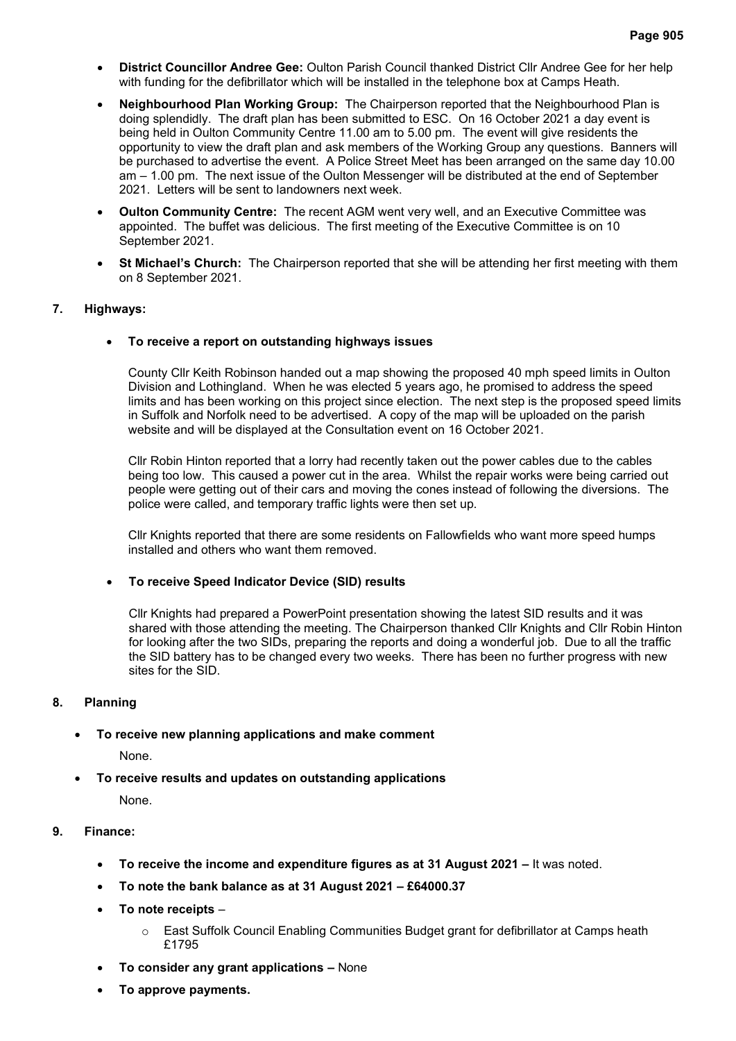- **District Councillor Andree Gee:** Oulton Parish Council thanked District Cllr Andree Gee for her help with funding for the defibrillator which will be installed in the telephone box at Camps Heath.
- **Neighbourhood Plan Working Group:** The Chairperson reported that the Neighbourhood Plan is doing splendidly. The draft plan has been submitted to ESC. On 16 October 2021 a day event is being held in Oulton Community Centre 11.00 am to 5.00 pm. The event will give residents the opportunity to view the draft plan and ask members of the Working Group any questions. Banners will be purchased to advertise the event. A Police Street Meet has been arranged on the same day 10.00 am – 1.00 pm. The next issue of the Oulton Messenger will be distributed at the end of September 2021. Letters will be sent to landowners next week.
- **Oulton Community Centre:** The recent AGM went very well, and an Executive Committee was appointed. The buffet was delicious. The first meeting of the Executive Committee is on 10 September 2021.
- **St Michael's Church:** The Chairperson reported that she will be attending her first meeting with them on 8 September 2021.

#### **7. Highways:**

#### • **To receive a report on outstanding highways issues**

County Cllr Keith Robinson handed out a map showing the proposed 40 mph speed limits in Oulton Division and Lothingland. When he was elected 5 years ago, he promised to address the speed limits and has been working on this project since election. The next step is the proposed speed limits in Suffolk and Norfolk need to be advertised. A copy of the map will be uploaded on the parish website and will be displayed at the Consultation event on 16 October 2021.

Cllr Robin Hinton reported that a lorry had recently taken out the power cables due to the cables being too low. This caused a power cut in the area. Whilst the repair works were being carried out people were getting out of their cars and moving the cones instead of following the diversions. The police were called, and temporary traffic lights were then set up.

Cllr Knights reported that there are some residents on Fallowfields who want more speed humps installed and others who want them removed.

#### • **To receive Speed Indicator Device (SID) results**

Cllr Knights had prepared a PowerPoint presentation showing the latest SID results and it was shared with those attending the meeting. The Chairperson thanked Cllr Knights and Cllr Robin Hinton for looking after the two SIDs, preparing the reports and doing a wonderful job. Due to all the traffic the SID battery has to be changed every two weeks. There has been no further progress with new sites for the SID.

#### **8. Planning**

## • **To receive new planning applications and make comment**

None.

• **To receive results and updates on outstanding applications**

None.

## **9. Finance:**

- **To receive the income and expenditure figures as at 31 August 2021 –** It was noted.
- **To note the bank balance as at 31 August 2021 – £64000.37**
- **To note receipts**
	- $\circ$  East Suffolk Council Enabling Communities Budget grant for defibrillator at Camps heath £1795
- **To consider any grant applications –** None
- **To approve payments.**